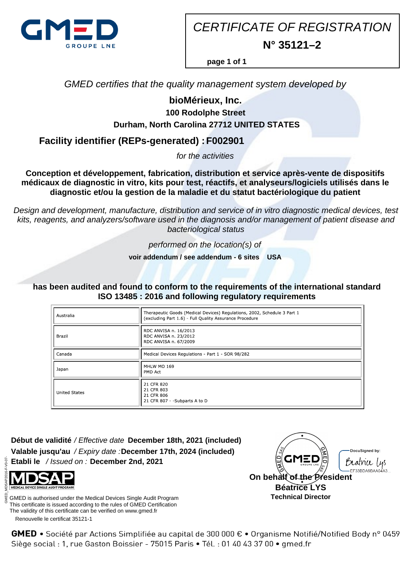

CERTIFICATE OF REGISTRATION **N° 35121–2**

**page 1 of 1**

GMED certifies that the quality management system developed by

# **bioMérieux, Inc.**

# **100 Rodolphe Street Durham, North Carolina 27712 UNITED STATES**

**Facility identifier (REPs-generated) : F002901**

for the activities

**Conception et développement, fabrication, distribution et service après-vente de dispositifs médicaux de diagnostic in vitro, kits pour test, réactifs, et analyseurs/logiciels utilisés dans le diagnostic et/ou la gestion de la maladie et du statut bactériologique du patient**

Design and development, manufacture, distribution and service of in vitro diagnostic medical devices, test kits, reagents, and analyzers/software used in the diagnosis and/or management of patient disease and bacteriological status

performed on the location(s) of

**voir addendum / see addendum - 6 sites USA**

**has been audited and found to conform to the requirements of the international standard ISO 13485 : 2016 and following regulatory requirements**

| Australia            | Therapeutic Goods (Medical Devices) Regulations, 2002, Schedule 3 Part 1<br>(excluding Part 1.6) - Full Quality Assurance Procedure |
|----------------------|-------------------------------------------------------------------------------------------------------------------------------------|
| Brazil               | RDC ANVISA n. 16/2013<br>RDC ANVISA n. 23/2012<br>RDC ANVISA n. 67/2009                                                             |
| Canada               | Medical Devices Regulations - Part 1 - SOR 98/282                                                                                   |
| Japan                | MHLW MO 169<br>PMD Act                                                                                                              |
| <b>United States</b> | 21 CFR 820<br>21 CFR 803<br>21 CFR 806<br>21 CFR 807 - - Subparts A to D                                                            |

**Début de validité** / Effective date **December 18th, 2021 (included) Valable jusqu'au** / Expiry date : **December 17th, 2024 (included) Etabli le** / Issued on : **December 2nd, 2021**



 Renouvelle le certificat 35121-1 GMED is authorised under the Medical Devices Single Audit Program This certificate is issued according to the rules of GMED Certification The validity of this certificate can be verified on www.gmed.fr



GMED • Société par Actions Simplifiée au capital de 300 000 € • Organisme Notifié/Notified Body n° 0459 Siège social : 1, rue Gaston Boissier - 75015 Paris · Tél. : 01 40 43 37 00 · gmed.fr